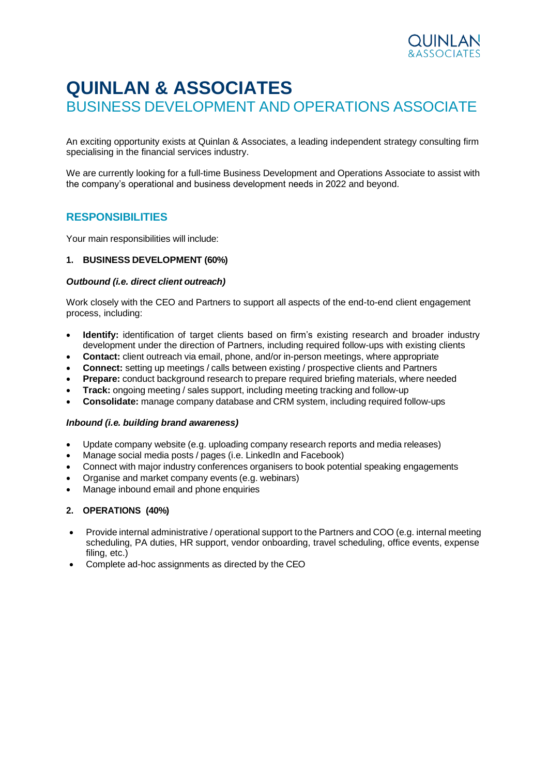

# **QUINLAN & ASSOCIATES** BUSINESS DEVELOPMENT AND OPERATIONS ASSOCIATE

An exciting opportunity exists at Quinlan & Associates, a leading independent strategy consulting firm specialising in the financial services industry.

We are currently looking for a full-time Business Development and Operations Associate to assist with the company's operational and business development needs in 2022 and beyond.

# **RESPONSIBILITIES**

Your main responsibilities will include:

### **1. BUSINESS DEVELOPMENT (60%)**

#### *Outbound (i.e. direct client outreach)*

Work closely with the CEO and Partners to support all aspects of the end-to-end client engagement process, including:

- **Identify:** identification of target clients based on firm's existing research and broader industry development under the direction of Partners, including required follow-ups with existing clients
- **Contact:** client outreach via email, phone, and/or in-person meetings, where appropriate
- **Connect:** setting up meetings / calls between existing / prospective clients and Partners
- **Prepare:** conduct background research to prepare required briefing materials, where needed
- **Track:** ongoing meeting / sales support, including meeting tracking and follow-up
- **Consolidate:** manage company database and CRM system, including required follow-ups

#### *Inbound (i.e. building brand awareness)*

- Update company website (e.g. uploading company research reports and media releases)
- Manage social media posts / pages (i.e. LinkedIn and Facebook)
- Connect with major industry conferences organisers to book potential speaking engagements
- Organise and market company events (e.g. webinars)
- Manage inbound email and phone enquiries

## **2. OPERATIONS (40%)**

- Provide internal administrative / operational support to the Partners and COO (e.g. internal meeting scheduling, PA duties, HR support, vendor onboarding, travel scheduling, office events, expense filing, etc.)
- Complete ad-hoc assignments as directed by the CEO